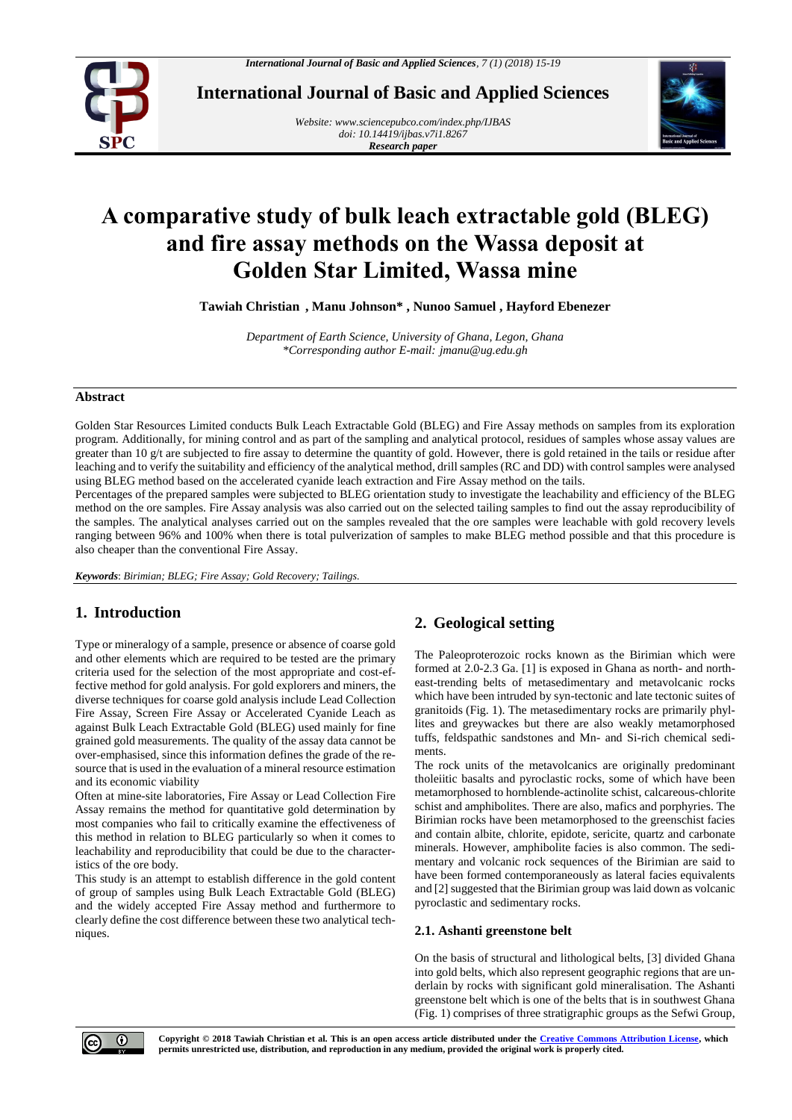

**International Journal of Basic and Applied Sciences**

*Website[: www.sciencepubco.com/index.php/IJBAS](http://www.sciencepubco.com/index.php/IJBAS) doi: 10.14419/ijbas.v7i1.8267 Research paper*



# **A comparative study of bulk leach extractable gold (BLEG) and fire assay methods on the Wassa deposit at Golden Star Limited, Wassa mine**

**Tawiah Christian , Manu Johnson\* , Nunoo Samuel , Hayford Ebenezer** 

*Department of Earth Science, University of Ghana, Legon, Ghana \*Corresponding author E-mail: jmanu@ug.edu.gh*

### **Abstract**

Golden Star Resources Limited conducts Bulk Leach Extractable Gold (BLEG) and Fire Assay methods on samples from its exploration program. Additionally, for mining control and as part of the sampling and analytical protocol, residues of samples whose assay values are greater than 10 g/t are subjected to fire assay to determine the quantity of gold. However, there is gold retained in the tails or residue after leaching and to verify the suitability and efficiency of the analytical method, drill samples (RC and DD) with control samples were analysed using BLEG method based on the accelerated cyanide leach extraction and Fire Assay method on the tails.

Percentages of the prepared samples were subjected to BLEG orientation study to investigate the leachability and efficiency of the BLEG method on the ore samples. Fire Assay analysis was also carried out on the selected tailing samples to find out the assay reproducibility of the samples. The analytical analyses carried out on the samples revealed that the ore samples were leachable with gold recovery levels ranging between 96% and 100% when there is total pulverization of samples to make BLEG method possible and that this procedure is also cheaper than the conventional Fire Assay.

*Keywords*: *Birimian; BLEG; Fire Assay; Gold Recovery; Tailings.*

# **1. Introduction**

Type or mineralogy of a sample, presence or absence of coarse gold and other elements which are required to be tested are the primary criteria used for the selection of the most appropriate and cost-effective method for gold analysis. For gold explorers and miners, the diverse techniques for coarse gold analysis include Lead Collection Fire Assay, Screen Fire Assay or Accelerated Cyanide Leach as against Bulk Leach Extractable Gold (BLEG) used mainly for fine grained gold measurements. The quality of the assay data cannot be over-emphasised, since this information defines the grade of the resource that is used in the evaluation of a mineral resource estimation and its economic viability

Often at mine-site laboratories, Fire Assay or Lead Collection Fire Assay remains the method for quantitative gold determination by most companies who fail to critically examine the effectiveness of this method in relation to BLEG particularly so when it comes to leachability and reproducibility that could be due to the characteristics of the ore body.

This study is an attempt to establish difference in the gold content of group of samples using Bulk Leach Extractable Gold (BLEG) and the widely accepted Fire Assay method and furthermore to clearly define the cost difference between these two analytical techniques.

# **2. Geological setting**

The Paleoproterozoic rocks known as the Birimian which were formed at 2.0-2.3 Ga. [1] is exposed in Ghana as north- and northeast-trending belts of metasedimentary and metavolcanic rocks which have been intruded by syn-tectonic and late tectonic suites of granitoids (Fig. 1). The metasedimentary rocks are primarily phyllites and greywackes but there are also weakly metamorphosed tuffs, feldspathic sandstones and Mn- and Si-rich chemical sediments.

The rock units of the metavolcanics are originally predominant tholeiitic basalts and pyroclastic rocks, some of which have been metamorphosed to hornblende-actinolite schist, calcareous-chlorite schist and amphibolites. There are also, mafics and porphyries. The Birimian rocks have been metamorphosed to the greenschist facies and contain albite, chlorite, epidote, sericite, quartz and carbonate minerals. However, amphibolite facies is also common. The sedimentary and volcanic rock sequences of the Birimian are said to have been formed contemporaneously as lateral facies equivalents and [2] suggested that the Birimian group was laid down as volcanic pyroclastic and sedimentary rocks.

# **2.1. Ashanti greenstone belt**

On the basis of structural and lithological belts, [3] divided Ghana into gold belts, which also represent geographic regions that are underlain by rocks with significant gold mineralisation. The Ashanti greenstone belt which is one of the belts that is in southwest Ghana (Fig. 1) comprises of three stratigraphic groups as the Sefwi Group,

 $\odot$ 

**Copyright © 2018 Tawiah Christian et al. This is an open access article distributed under the [Creative Commons Attribution License,](http://creativecommons.org/licenses/by/3.0/) which permits unrestricted use, distribution, and reproduction in any medium, provided the original work is properly cited.**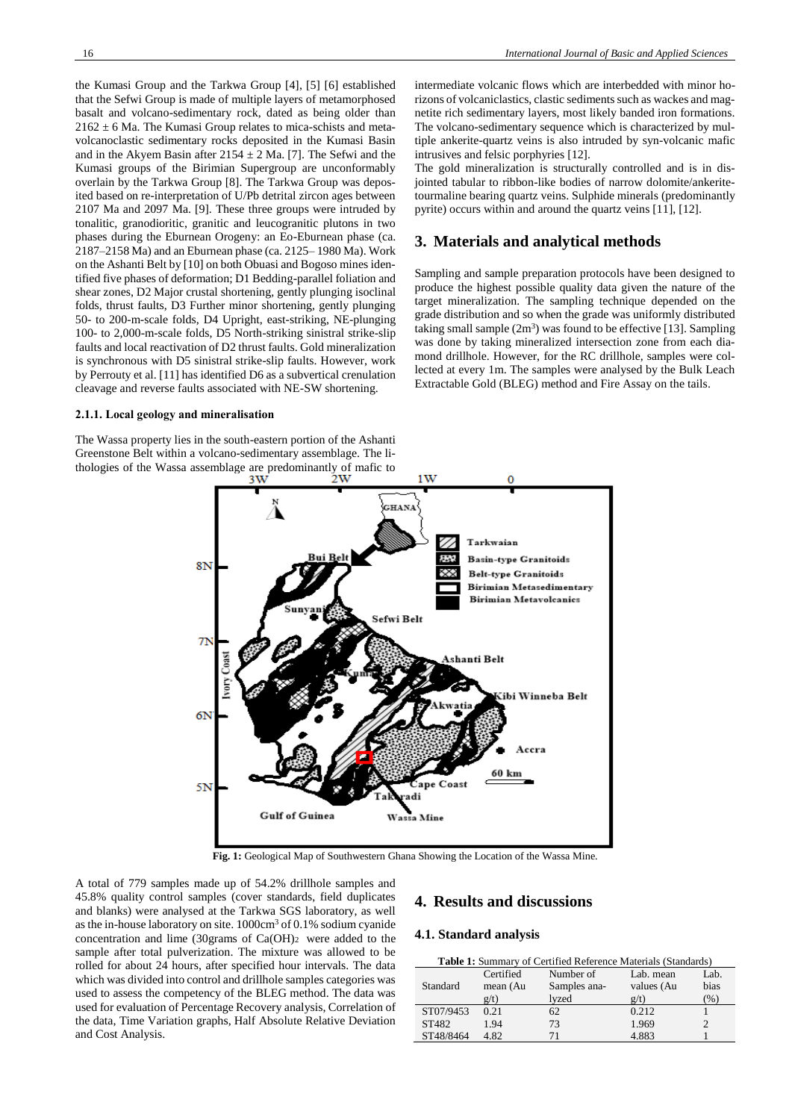the Kumasi Group and the Tarkwa Group [4], [5] [6] established that the Sefwi Group is made of multiple layers of metamorphosed basalt and volcano-sedimentary rock, dated as being older than  $2162 \pm 6$  Ma. The Kumasi Group relates to mica-schists and metavolcanoclastic sedimentary rocks deposited in the Kumasi Basin and in the Akyem Basin after  $2154 \pm 2$  Ma. [7]. The Sefwi and the Kumasi groups of the Birimian Supergroup are unconformably overlain by the Tarkwa Group [8]. The Tarkwa Group was deposited based on re-interpretation of U/Pb detrital zircon ages between 2107 Ma and 2097 Ma. [9]. These three groups were intruded by tonalitic, granodioritic, granitic and leucogranitic plutons in two phases during the Eburnean Orogeny: an Eo-Eburnean phase (ca. 2187–2158 Ma) and an Eburnean phase (ca. 2125– 1980 Ma). Work on the Ashanti Belt by [10] on both Obuasi and Bogoso mines identified five phases of deformation; D1 Bedding-parallel foliation and shear zones, D2 Major crustal shortening, gently plunging isoclinal folds, thrust faults, D3 Further minor shortening, gently plunging 50- to 200-m-scale folds, D4 Upright, east-striking, NE-plunging 100- to 2,000-m-scale folds, D5 North-striking sinistral strike-slip faults and local reactivation of D2 thrust faults. Gold mineralization is synchronous with D5 sinistral strike-slip faults. However, work by Perrouty et al. [11] has identified D6 as a subvertical crenulation cleavage and reverse faults associated with NE-SW shortening.

#### **2.1.1. Local geology and mineralisation**

The Wassa property lies in the south-eastern portion of the Ashanti Greenstone Belt within a volcano-sedimentary assemblage. The lithologies of the Wassa assemblage are predominantly of mafic to intermediate volcanic flows which are interbedded with minor horizons of volcaniclastics, clastic sediments such as wackes and magnetite rich sedimentary layers, most likely banded iron formations. The volcano-sedimentary sequence which is characterized by multiple ankerite-quartz veins is also intruded by syn-volcanic mafic intrusives and felsic porphyries [12].

The gold mineralization is structurally controlled and is in disjointed tabular to ribbon-like bodies of narrow dolomite/ankeritetourmaline bearing quartz veins. Sulphide minerals (predominantly pyrite) occurs within and around the quartz veins [11], [12].

# **3. Materials and analytical methods**

Sampling and sample preparation protocols have been designed to produce the highest possible quality data given the nature of the target mineralization. The sampling technique depended on the grade distribution and so when the grade was uniformly distributed taking small sample  $(2m^3)$  was found to be effective [13]. Sampling was done by taking mineralized intersection zone from each diamond drillhole. However, for the RC drillhole, samples were collected at every 1m. The samples were analysed by the Bulk Leach Extractable Gold (BLEG) method and Fire Assay on the tails.



**Fig. 1:** Geological Map of Southwestern Ghana Showing the Location of the Wassa Mine.

A total of 779 samples made up of 54.2% drillhole samples and 45.8% quality control samples (cover standards, field duplicates and blanks) were analysed at the Tarkwa SGS laboratory, as well as the in-house laboratory on site. 1000cm<sup>3</sup> of 0.1% sodium cyanide concentration and lime (30grams of Ca(OH)2 were added to the sample after total pulverization. The mixture was allowed to be rolled for about 24 hours, after specified hour intervals. The data which was divided into control and drillhole samples categories was used to assess the competency of the BLEG method. The data was used for evaluation of Percentage Recovery analysis, Correlation of the data, Time Variation graphs, Half Absolute Relative Deviation and Cost Analysis.

# **4. Results and discussions**

#### **4.1. Standard analysis**

| <b>Table 1:</b> Summary of Certified Reference Materials (Standards) |                       |                           |                         |              |  |  |  |  |
|----------------------------------------------------------------------|-----------------------|---------------------------|-------------------------|--------------|--|--|--|--|
| Standard                                                             | Certified<br>mean (Au | Number of<br>Samples ana- | Lab. mean<br>values (Au | Lab.<br>bias |  |  |  |  |
|                                                                      | g(t)                  | lyzed                     | g(t)                    | $\%$         |  |  |  |  |
| ST07/9453                                                            | 0.21                  | 62                        | 0.212                   |              |  |  |  |  |
| ST482                                                                | 1.94                  | 73                        | 1.969                   |              |  |  |  |  |
| ST48/8464                                                            | 4.82                  | 71                        | 4.883                   |              |  |  |  |  |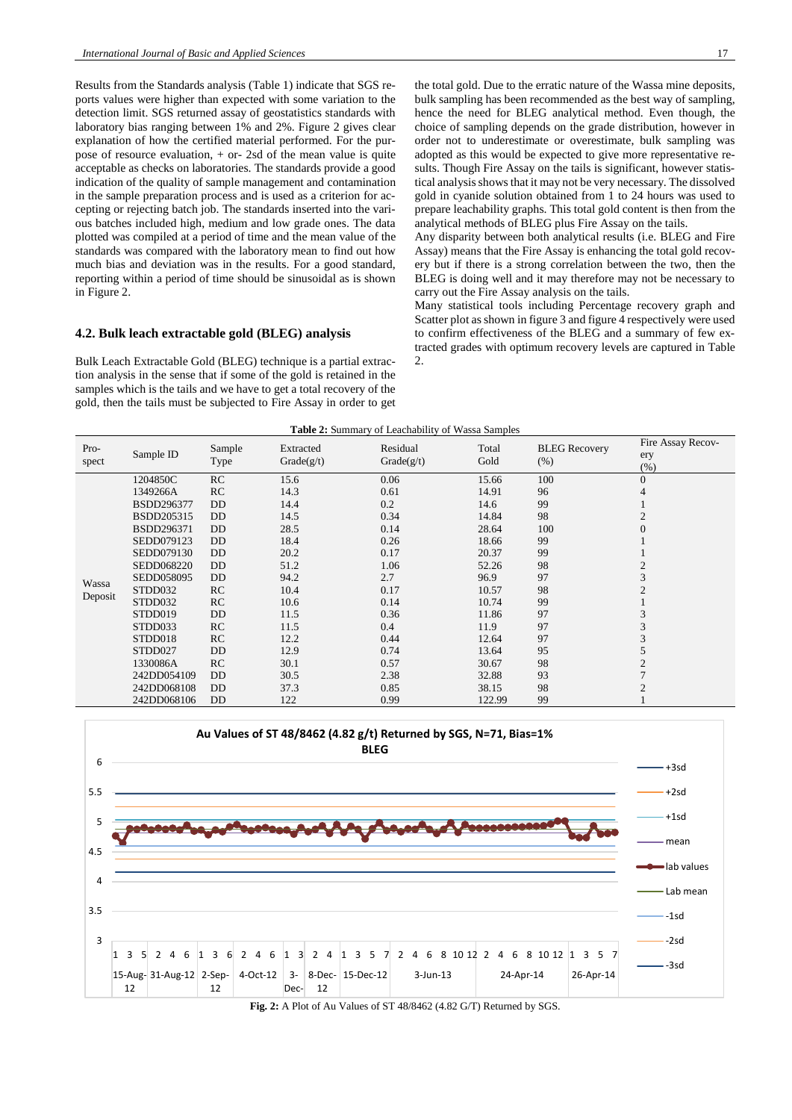Results from the Standards analysis (Table 1) indicate that SGS reports values were higher than expected with some variation to the detection limit. SGS returned assay of geostatistics standards with laboratory bias ranging between 1% and 2%. Figure 2 gives clear explanation of how the certified material performed. For the purpose of resource evaluation, + or- 2sd of the mean value is quite acceptable as checks on laboratories. The standards provide a good indication of the quality of sample management and contamination in the sample preparation process and is used as a criterion for accepting or rejecting batch job. The standards inserted into the various batches included high, medium and low grade ones. The data plotted was compiled at a period of time and the mean value of the standards was compared with the laboratory mean to find out how much bias and deviation was in the results. For a good standard, reporting within a period of time should be sinusoidal as is shown in Figure 2.

#### **4.2. Bulk leach extractable gold (BLEG) analysis**

Bulk Leach Extractable Gold (BLEG) technique is a partial extraction analysis in the sense that if some of the gold is retained in the samples which is the tails and we have to get a total recovery of the gold, then the tails must be subjected to Fire Assay in order to get the total gold. Due to the erratic nature of the Wassa mine deposits, bulk sampling has been recommended as the best way of sampling, hence the need for BLEG analytical method. Even though, the choice of sampling depends on the grade distribution, however in order not to underestimate or overestimate, bulk sampling was adopted as this would be expected to give more representative results. Though Fire Assay on the tails is significant, however statistical analysis shows that it may not be very necessary. The dissolved gold in cyanide solution obtained from 1 to 24 hours was used to prepare leachability graphs. This total gold content is then from the analytical methods of BLEG plus Fire Assay on the tails.

Any disparity between both analytical results (i.e. BLEG and Fire Assay) means that the Fire Assay is enhancing the total gold recovery but if there is a strong correlation between the two, then the BLEG is doing well and it may therefore may not be necessary to carry out the Fire Assay analysis on the tails.

Many statistical tools including Percentage recovery graph and Scatter plot as shown in figure 3 and figure 4 respectively were used to confirm effectiveness of the BLEG and a summary of few extracted grades with optimum recovery levels are captured in Table  $2.$ 

| <b>Table 2:</b> Summary of Leachability of Wassa Samples |             |                |                         |                        |               |                                 |                                  |  |  |
|----------------------------------------------------------|-------------|----------------|-------------------------|------------------------|---------------|---------------------------------|----------------------------------|--|--|
| Pro-<br>spect                                            | Sample ID   | Sample<br>Type | Extracted<br>Grade(g/t) | Residual<br>Grade(g/t) | Total<br>Gold | <b>BLEG</b> Recovery<br>$(\% )$ | Fire Assay Recov-<br>ery<br>(% ) |  |  |
| Wassa<br>Deposit                                         | 1204850C    | RC             | 15.6                    | 0.06                   | 15.66         | 100                             | $\overline{0}$                   |  |  |
|                                                          | 1349266A    | RC             | 14.3                    | 0.61                   | 14.91         | 96                              | 4                                |  |  |
|                                                          | BSDD296377  | DD             | 14.4                    | 0.2                    | 14.6          | 99                              |                                  |  |  |
|                                                          | BSDD205315  | <b>DD</b>      | 14.5                    | 0.34                   | 14.84         | 98                              | $\overline{c}$                   |  |  |
|                                                          | BSDD296371  | DD             | 28.5                    | 0.14                   | 28.64         | 100                             | $\overline{0}$                   |  |  |
|                                                          | SEDD079123  | DD             | 18.4                    | 0.26                   | 18.66         | 99                              |                                  |  |  |
|                                                          | SEDD079130  | <b>DD</b>      | 20.2                    | 0.17                   | 20.37         | 99                              |                                  |  |  |
|                                                          | SEDD068220  | DD             | 51.2                    | 1.06                   | 52.26         | 98                              | $\mathbf{2}$                     |  |  |
|                                                          | SEDD058095  | DD             | 94.2                    | 2.7                    | 96.9          | 97                              | 3                                |  |  |
|                                                          | STDD032     | RC             | 10.4                    | 0.17                   | 10.57         | 98                              |                                  |  |  |
|                                                          | STDD032     | RC             | 10.6                    | 0.14                   | 10.74         | 99                              |                                  |  |  |
|                                                          | STDD019     | DD             | 11.5                    | 0.36                   | 11.86         | 97                              | 3                                |  |  |
|                                                          | STDD033     | RC             | 11.5                    | 0.4                    | 11.9          | 97                              | 3                                |  |  |
|                                                          | STDD018     | RC             | 12.2                    | 0.44                   | 12.64         | 97                              | 3                                |  |  |
|                                                          | STDD027     | DD             | 12.9                    | 0.74                   | 13.64         | 95                              | 5                                |  |  |
|                                                          | 1330086A    | RC             | 30.1                    | 0.57                   | 30.67         | 98                              | 2                                |  |  |
|                                                          | 242DD054109 | <b>DD</b>      | 30.5                    | 2.38                   | 32.88         | 93                              |                                  |  |  |
|                                                          | 242DD068108 | <b>DD</b>      | 37.3                    | 0.85                   | 38.15         | 98                              | $\overline{2}$                   |  |  |
|                                                          | 242DD068106 | <b>DD</b>      | 122                     | 0.99                   | 122.99        | 99                              |                                  |  |  |



Fig. 2: A Plot of Au Values of ST 48/8462 (4.82 G/T) Returned by SGS.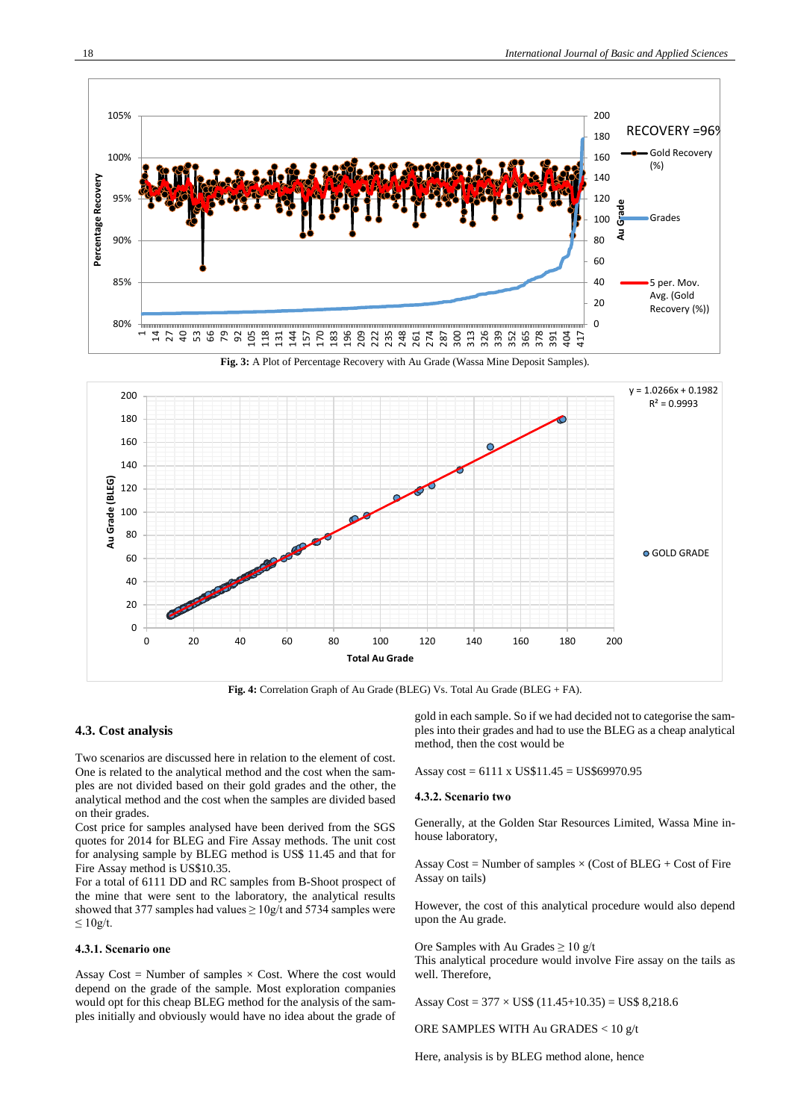





**Fig. 4:** Correlation Graph of Au Grade (BLEG) Vs. Total Au Grade (BLEG + FA).

#### **4.3. Cost analysis**

Two scenarios are discussed here in relation to the element of cost. One is related to the analytical method and the cost when the samples are not divided based on their gold grades and the other, the analytical method and the cost when the samples are divided based on their grades.

Cost price for samples analysed have been derived from the SGS quotes for 2014 for BLEG and Fire Assay methods. The unit cost for analysing sample by BLEG method is US\$ 11.45 and that for Fire Assay method is US\$10.35.

For a total of 6111 DD and RC samples from B-Shoot prospect of the mine that were sent to the laboratory, the analytical results showed that 377 samples had values  $\geq 10$ g/t and 5734 samples were  $≤ 10g/t.$ 

#### **4.3.1. Scenario one**

Assay Cost = Number of samples  $\times$  Cost. Where the cost would depend on the grade of the sample. Most exploration companies would opt for this cheap BLEG method for the analysis of the samples initially and obviously would have no idea about the grade of gold in each sample. So if we had decided not to categorise the samples into their grades and had to use the BLEG as a cheap analytical method, then the cost would be

Assay cost = 6111 x US\$11.45 = US\$69970.95

#### **4.3.2. Scenario two**

Generally, at the Golden Star Resources Limited, Wassa Mine inhouse laboratory,

Assay Cost = Number of samples  $\times$  (Cost of BLEG + Cost of Fire Assay on tails)

However, the cost of this analytical procedure would also depend upon the Au grade.

Ore Samples with Au Grades  $\geq 10$  g/t This analytical procedure would involve Fire assay on the tails as well. Therefore,

Assay  $Cost = 377 \times US\$  (11.45+10.35) = US\$ 8,218.6

ORE SAMPLES WITH Au GRADES < 10 g/t

Here, analysis is by BLEG method alone, hence